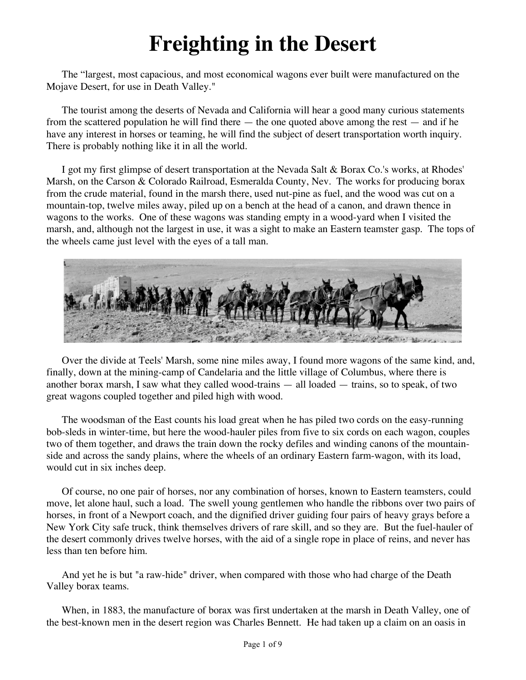## **Freighting in the Desert**

The "largest, most capacious, and most economical wagons ever built were manufactured on the Mojave Desert, for use in Death Valley."

The tourist among the deserts of Nevada and California will hear a good many curious statements from the scattered population he will find there — the one quoted above among the rest — and if he have any interest in horses or teaming, he will find the subject of desert transportation worth inquiry. There is probably nothing like it in all the world.

I got my first glimpse of desert transportation at the Nevada Salt & Borax Co.'s works, at Rhodes' Marsh, on the Carson & Colorado Railroad, Esmeralda County, Nev. The works for producing borax from the crude material, found in the marsh there, used nut-pine as fuel, and the wood was cut on a mountain-top, twelve miles away, piled up on a bench at the head of a canon, and drawn thence in wagons to the works. One of these wagons was standing empty in a wood-yard when I visited the marsh, and, although not the largest in use, it was a sight to make an Eastern teamster gasp. The tops of the wheels came just level with the eyes of a tall man.



Over the divide at Teels' Marsh, some nine miles away, I found more wagons of the same kind, and, finally, down at the mining-camp of Candelaria and the little village of Columbus, where there is another borax marsh, I saw what they called wood-trains — all loaded — trains, so to speak, of two great wagons coupled together and piled high with wood.

The woodsman of the East counts his load great when he has piled two cords on the easy-running bob-sleds in winter-time, but here the wood-hauler piles from five to six cords on each wagon, couples two of them together, and draws the train down the rocky defiles and winding canons of the mountainside and across the sandy plains, where the wheels of an ordinary Eastern farm-wagon, with its load, would cut in six inches deep.

Of course, no one pair of horses, nor any combination of horses, known to Eastern teamsters, could move, let alone haul, such a load. The swell young gentlemen who handle the ribbons over two pairs of horses, in front of a Newport coach, and the dignified driver guiding four pairs of heavy grays before a New York City safe truck, think themselves drivers of rare skill, and so they are. But the fuel-hauler of the desert commonly drives twelve horses, with the aid of a single rope in place of reins, and never has less than ten before him.

And yet he is but "a raw-hide" driver, when compared with those who had charge of the Death Valley borax teams.

When, in 1883, the manufacture of borax was first undertaken at the marsh in Death Valley, one of the best-known men in the desert region was Charles Bennett. He had taken up a claim on an oasis in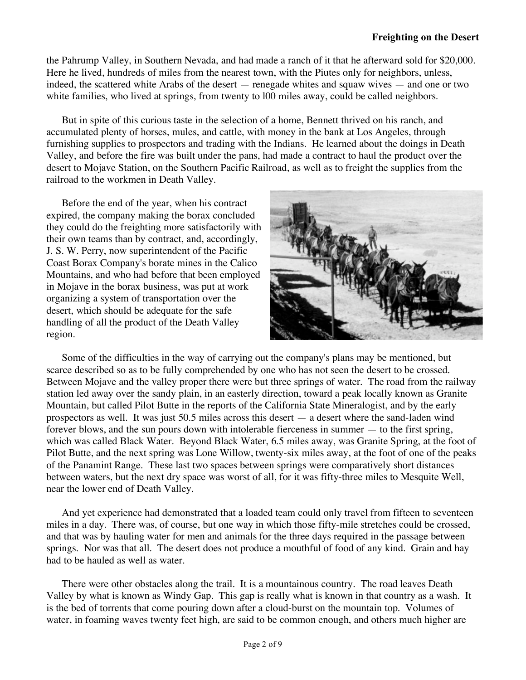the Pahrump Valley, in Southern Nevada, and had made a ranch of it that he afterward sold for \$20,000. Here he lived, hundreds of miles from the nearest town, with the Piutes only for neighbors, unless, indeed, the scattered white Arabs of the desert — renegade whites and squaw wives — and one or two white families, who lived at springs, from twenty to 100 miles away, could be called neighbors.

But in spite of this curious taste in the selection of a home, Bennett thrived on his ranch, and accumulated plenty of horses, mules, and cattle, with money in the bank at Los Angeles, through furnishing supplies to prospectors and trading with the Indians. He learned about the doings in Death Valley, and before the fire was built under the pans, had made a contract to haul the product over the desert to Mojave Station, on the Southern Pacific Railroad, as well as to freight the supplies from the railroad to the workmen in Death Valley.

Before the end of the year, when his contract expired, the company making the borax concluded they could do the freighting more satisfactorily with their own teams than by contract, and, accordingly, J. S. W. Perry, now superintendent of the Pacific Coast Borax Company's borate mines in the Calico Mountains, and who had before that been employed in Mojave in the borax business, was put at work organizing a system of transportation over the desert, which should be adequate for the safe handling of all the product of the Death Valley region.



Some of the difficulties in the way of carrying out the company's plans may be mentioned, but scarce described so as to be fully comprehended by one who has not seen the desert to be crossed. Between Mojave and the valley proper there were but three springs of water. The road from the railway station led away over the sandy plain, in an easterly direction, toward a peak locally known as Granite Mountain, but called Pilot Butte in the reports of the California State Mineralogist, and by the early prospectors as well. It was just 50.5 miles across this desert — a desert where the sand-laden wind forever blows, and the sun pours down with intolerable fierceness in summer — to the first spring, which was called Black Water. Beyond Black Water, 6.5 miles away, was Granite Spring, at the foot of Pilot Butte, and the next spring was Lone Willow, twenty-six miles away, at the foot of one of the peaks of the Panamint Range. These last two spaces between springs were comparatively short distances between waters, but the next dry space was worst of all, for it was fifty-three miles to Mesquite Well, near the lower end of Death Valley.

And yet experience had demonstrated that a loaded team could only travel from fifteen to seventeen miles in a day. There was, of course, but one way in which those fifty-mile stretches could be crossed, and that was by hauling water for men and animals for the three days required in the passage between springs. Nor was that all. The desert does not produce a mouthful of food of any kind. Grain and hay had to be hauled as well as water.

There were other obstacles along the trail. It is a mountainous country. The road leaves Death Valley by what is known as Windy Gap. This gap is really what is known in that country as a wash. It is the bed of torrents that come pouring down after a cloud-burst on the mountain top. Volumes of water, in foaming waves twenty feet high, are said to be common enough, and others much higher are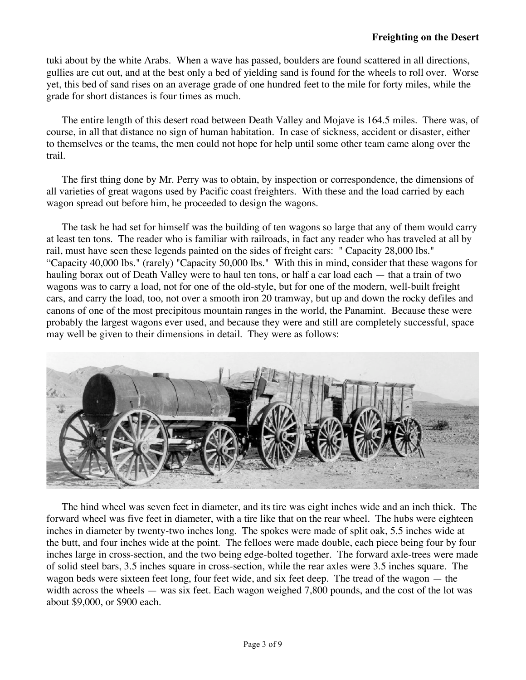tuki about by the white Arabs. When a wave has passed, boulders are found scattered in all directions, gullies are cut out, and at the best only a bed of yielding sand is found for the wheels to roll over. Worse yet, this bed of sand rises on an average grade of one hundred feet to the mile for forty miles, while the grade for short distances is four times as much.

The entire length of this desert road between Death Valley and Mojave is 164.5 miles. There was, of course, in all that distance no sign of human habitation. In case of sickness, accident or disaster, either to themselves or the teams, the men could not hope for help until some other team came along over the trail.

The first thing done by Mr. Perry was to obtain, by inspection or correspondence, the dimensions of all varieties of great wagons used by Pacific coast freighters. With these and the load carried by each wagon spread out before him, he proceeded to design the wagons.

The task he had set for himself was the building of ten wagons so large that any of them would carry at least ten tons. The reader who is familiar with railroads, in fact any reader who has traveled at all by rail, must have seen these legends painted on the sides of freight cars: " Capacity 28,000 lbs." "Capacity 40,000 lbs." (rarely) "Capacity 50,000 lbs." With this in mind, consider that these wagons for hauling borax out of Death Valley were to haul ten tons, or half a car load each — that a train of two wagons was to carry a load, not for one of the old-style, but for one of the modern, well-built freight cars, and carry the load, too, not over a smooth iron 20 tramway, but up and down the rocky defiles and canons of one of the most precipitous mountain ranges in the world, the Panamint. Because these were probably the largest wagons ever used, and because they were and still are completely successful, space may well be given to their dimensions in detail. They were as follows:



The hind wheel was seven feet in diameter, and its tire was eight inches wide and an inch thick. The forward wheel was five feet in diameter, with a tire like that on the rear wheel. The hubs were eighteen inches in diameter by twenty-two inches long. The spokes were made of split oak, 5.5 inches wide at the butt, and four inches wide at the point. The felloes were made double, each piece being four by four inches large in cross-section, and the two being edge-bolted together. The forward axle-trees were made of solid steel bars, 3.5 inches square in cross-section, while the rear axles were 3.5 inches square. The wagon beds were sixteen feet long, four feet wide, and six feet deep. The tread of the wagon — the width across the wheels — was six feet. Each wagon weighed 7,800 pounds, and the cost of the lot was about \$9,000, or \$900 each.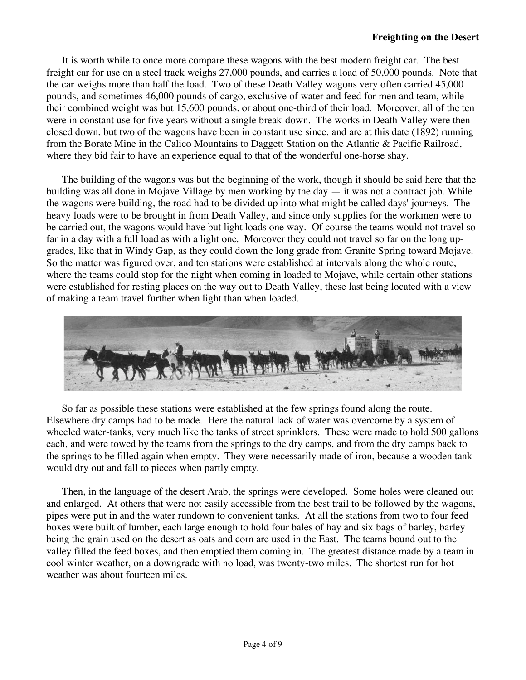It is worth while to once more compare these wagons with the best modern freight car. The best freight car for use on a steel track weighs 27,000 pounds, and carries a load of 50,000 pounds. Note that the car weighs more than half the load. Two of these Death Valley wagons very often carried 45,000 pounds, and sometimes 46,000 pounds of cargo, exclusive of water and feed for men and team, while their combined weight was but 15,600 pounds, or about one-third of their load. Moreover, all of the ten were in constant use for five years without a single break-down. The works in Death Valley were then closed down, but two of the wagons have been in constant use since, and are at this date (1892) running from the Borate Mine in the Calico Mountains to Daggett Station on the Atlantic & Pacific Railroad, where they bid fair to have an experience equal to that of the wonderful one-horse shay.

The building of the wagons was but the beginning of the work, though it should be said here that the building was all done in Mojave Village by men working by the day — it was not a contract job. While the wagons were building, the road had to be divided up into what might be called days' journeys. The heavy loads were to be brought in from Death Valley, and since only supplies for the workmen were to be carried out, the wagons would have but light loads one way. Of course the teams would not travel so far in a day with a full load as with a light one. Moreover they could not travel so far on the long upgrades, like that in Windy Gap, as they could down the long grade from Granite Spring toward Mojave. So the matter was figured over, and ten stations were established at intervals along the whole route, where the teams could stop for the night when coming in loaded to Mojave, while certain other stations were established for resting places on the way out to Death Valley, these last being located with a view of making a team travel further when light than when loaded.



So far as possible these stations were established at the few springs found along the route. Elsewhere dry camps had to be made. Here the natural lack of water was overcome by a system of wheeled water-tanks, very much like the tanks of street sprinklers. These were made to hold 500 gallons each, and were towed by the teams from the springs to the dry camps, and from the dry camps back to the springs to be filled again when empty. They were necessarily made of iron, because a wooden tank would dry out and fall to pieces when partly empty.

Then, in the language of the desert Arab, the springs were developed. Some holes were cleaned out and enlarged. At others that were not easily accessible from the best trail to be followed by the wagons, pipes were put in and the water rundown to convenient tanks. At all the stations from two to four feed boxes were built of lumber, each large enough to hold four bales of hay and six bags of barley, barley being the grain used on the desert as oats and corn are used in the East. The teams bound out to the valley filled the feed boxes, and then emptied them coming in. The greatest distance made by a team in cool winter weather, on a downgrade with no load, was twenty-two miles. The shortest run for hot weather was about fourteen miles.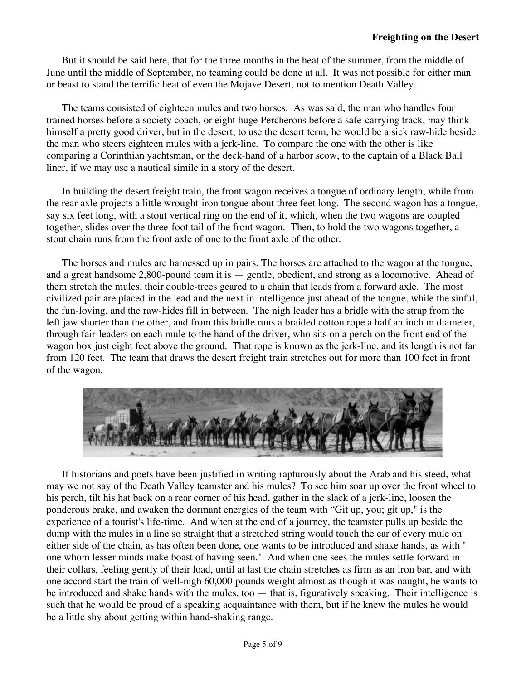But it should be said here, that for the three months in the heat of the summer, from the middle of June until the middle of September, no teaming could be done at all. It was not possible for either man or beast to stand the terrific heat of even the Mojave Desert, not to mention Death Valley.

The teams consisted of eighteen mules and two horses. As was said, the man who handles four trained horses before a society coach, or eight huge Percherons before a safe-carrying track, may think himself a pretty good driver, but in the desert, to use the desert term, he would be a sick raw-hide beside the man who steers eighteen mules with a jerk-line. To compare the one with the other is like comparing a Corinthian yachtsman, or the deck-hand of a harbor scow, to the captain of a Black Ball liner, if we may use a nautical simile in a story of the desert.

In building the desert freight train, the front wagon receives a tongue of ordinary length, while from the rear axle projects a little wrought-iron tongue about three feet long. The second wagon has a tongue, say six feet long, with a stout vertical ring on the end of it, which, when the two wagons are coupled together, slides over the three-foot tail of the front wagon. Then, to hold the two wagons together, a stout chain runs from the front axle of one to the front axle of the other.

The horses and mules are harnessed up in pairs. The horses are attached to the wagon at the tongue, and a great handsome 2,800-pound team it is — gentle, obedient, and strong as a locomotive. Ahead of them stretch the mules, their double-trees geared to a chain that leads from a forward axle. The most civilized pair are placed in the lead and the next in intelligence just ahead of the tongue, while the sinful, the fun-loving, and the raw-hides fill in between. The nigh leader has a bridle with the strap from the left jaw shorter than the other, and from this bridle runs a braided cotton rope a half an inch m diameter, through fair-leaders on each mule to the hand of the driver, who sits on a perch on the front end of the wagon box just eight feet above the ground. That rope is known as the jerk-line, and its length is not far from 120 feet. The team that draws the desert freight train stretches out for more than 100 feet in front of the wagon.



If historians and poets have been justified in writing rapturously about the Arab and his steed, what may we not say of the Death Valley teamster and his mules? To see him soar up over the front wheel to his perch, tilt his hat back on a rear corner of his head, gather in the slack of a jerk-line, loosen the ponderous brake, and awaken the dormant energies of the team with "Git up, you; git up," is the experience of a tourist's life-time. And when at the end of a journey, the teamster pulls up beside the dump with the mules in a line so straight that a stretched string would touch the ear of every mule on either side of the chain, as has often been done, one wants to be introduced and shake hands, as with " one whom lesser minds make boast of having seen." And when one sees the mules settle forward in their collars, feeling gently of their load, until at last the chain stretches as firm as an iron bar, and with one accord start the train of well-nigh 60,000 pounds weight almost as though it was naught, he wants to be introduced and shake hands with the mules, too — that is, figuratively speaking. Their intelligence is such that he would be proud of a speaking acquaintance with them, but if he knew the mules he would be a little shy about getting within hand-shaking range.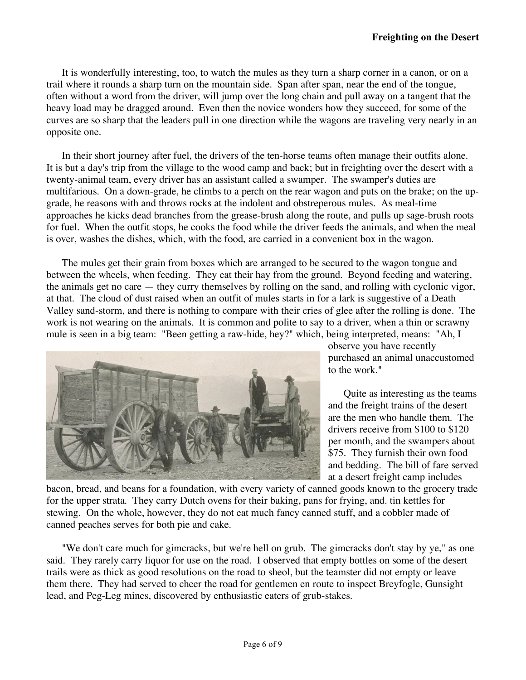It is wonderfully interesting, too, to watch the mules as they turn a sharp corner in a canon, or on a trail where it rounds a sharp turn on the mountain side. Span after span, near the end of the tongue, often without a word from the driver, will jump over the long chain and pull away on a tangent that the heavy load may be dragged around. Even then the novice wonders how they succeed, for some of the curves are so sharp that the leaders pull in one direction while the wagons are traveling very nearly in an opposite one.

In their short journey after fuel, the drivers of the ten-horse teams often manage their outfits alone. It is but a day's trip from the village to the wood camp and back; but in freighting over the desert with a twenty-animal team, every driver has an assistant called a swamper. The swamper's duties are multifarious. On a down-grade, he climbs to a perch on the rear wagon and puts on the brake; on the upgrade, he reasons with and throws rocks at the indolent and obstreperous mules. As meal-time approaches he kicks dead branches from the grease-brush along the route, and pulls up sage-brush roots for fuel. When the outfit stops, he cooks the food while the driver feeds the animals, and when the meal is over, washes the dishes, which, with the food, are carried in a convenient box in the wagon.

The mules get their grain from boxes which are arranged to be secured to the wagon tongue and between the wheels, when feeding. They eat their hay from the ground. Beyond feeding and watering, the animals get no care — they curry themselves by rolling on the sand, and rolling with cyclonic vigor, at that. The cloud of dust raised when an outfit of mules starts in for a lark is suggestive of a Death Valley sand-storm, and there is nothing to compare with their cries of glee after the rolling is done. The work is not wearing on the animals. It is common and polite to say to a driver, when a thin or scrawny mule is seen in a big team: "Been getting a raw-hide, hey?" which, being interpreted, means: "Ah, I



observe you have recently purchased an animal unaccustomed to the work."

Quite as interesting as the teams and the freight trains of the desert are the men who handle them. The drivers receive from \$100 to \$120 per month, and the swampers about \$75. They furnish their own food and bedding. The bill of fare served at a desert freight camp includes

bacon, bread, and beans for a foundation, with every variety of canned goods known to the grocery trade for the upper strata. They carry Dutch ovens for their baking, pans for frying, and. tin kettles for stewing. On the whole, however, they do not eat much fancy canned stuff, and a cobbler made of canned peaches serves for both pie and cake.

"We don't care much for gimcracks, but we're hell on grub. The gimcracks don't stay by ye," as one said. They rarely carry liquor for use on the road. I observed that empty bottles on some of the desert trails were as thick as good resolutions on the road to sheol, but the teamster did not empty or leave them there. They had served to cheer the road for gentlemen en route to inspect Breyfogle, Gunsight lead, and Peg-Leg mines, discovered by enthusiastic eaters of grub-stakes.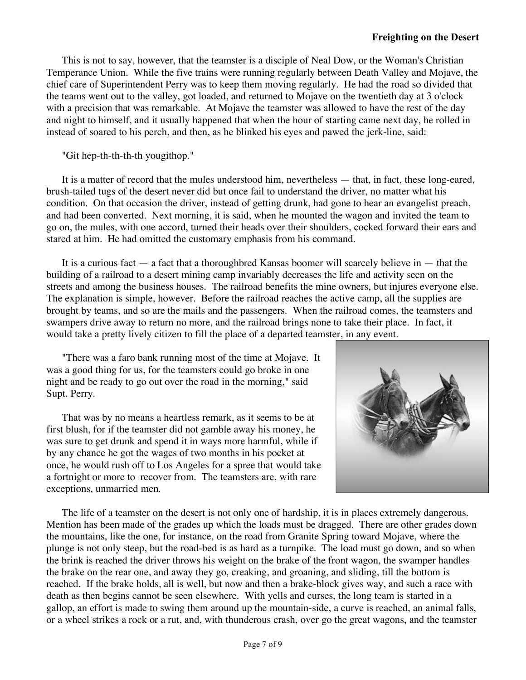This is not to say, however, that the teamster is a disciple of Neal Dow, or the Woman's Christian Temperance Union. While the five trains were running regularly between Death Valley and Mojave, the chief care of Superintendent Perry was to keep them moving regularly. He had the road so divided that the teams went out to the valley, got loaded, and returned to Mojave on the twentieth day at 3 o'clock with a precision that was remarkable. At Mojave the teamster was allowed to have the rest of the day and night to himself, and it usually happened that when the hour of starting came next day, he rolled in instead of soared to his perch, and then, as he blinked his eyes and pawed the jerk-line, said:

"Git hep-th-th-th-th yougithop."

It is a matter of record that the mules understood him, nevertheless — that, in fact, these long-eared, brush-tailed tugs of the desert never did but once fail to understand the driver, no matter what his condition. On that occasion the driver, instead of getting drunk, had gone to hear an evangelist preach, and had been converted. Next morning, it is said, when he mounted the wagon and invited the team to go on, the mules, with one accord, turned their heads over their shoulders, cocked forward their ears and stared at him. He had omitted the customary emphasis from his command.

It is a curious fact — a fact that a thoroughbred Kansas boomer will scarcely believe in — that the building of a railroad to a desert mining camp invariably decreases the life and activity seen on the streets and among the business houses. The railroad benefits the mine owners, but injures everyone else. The explanation is simple, however. Before the railroad reaches the active camp, all the supplies are brought by teams, and so are the mails and the passengers. When the railroad comes, the teamsters and swampers drive away to return no more, and the railroad brings none to take their place. In fact, it would take a pretty lively citizen to fill the place of a departed teamster, in any event.

"There was a faro bank running most of the time at Mojave. It was a good thing for us, for the teamsters could go broke in one night and be ready to go out over the road in the morning," said Supt. Perry.

That was by no means a heartless remark, as it seems to be at first blush, for if the teamster did not gamble away his money, he was sure to get drunk and spend it in ways more harmful, while if by any chance he got the wages of two months in his pocket at once, he would rush off to Los Angeles for a spree that would take a fortnight or more to recover from. The teamsters are, with rare exceptions, unmarried men.



The life of a teamster on the desert is not only one of hardship, it is in places extremely dangerous. Mention has been made of the grades up which the loads must be dragged. There are other grades down the mountains, like the one, for instance, on the road from Granite Spring toward Mojave, where the plunge is not only steep, but the road-bed is as hard as a turnpike. The load must go down, and so when the brink is reached the driver throws his weight on the brake of the front wagon, the swamper handles the brake on the rear one, and away they go, creaking, and groaning, and sliding, till the bottom is reached. If the brake holds, all is well, but now and then a brake-block gives way, and such a race with death as then begins cannot be seen elsewhere. With yells and curses, the long team is started in a gallop, an effort is made to swing them around up the mountain-side, a curve is reached, an animal falls, or a wheel strikes a rock or a rut, and, with thunderous crash, over go the great wagons, and the teamster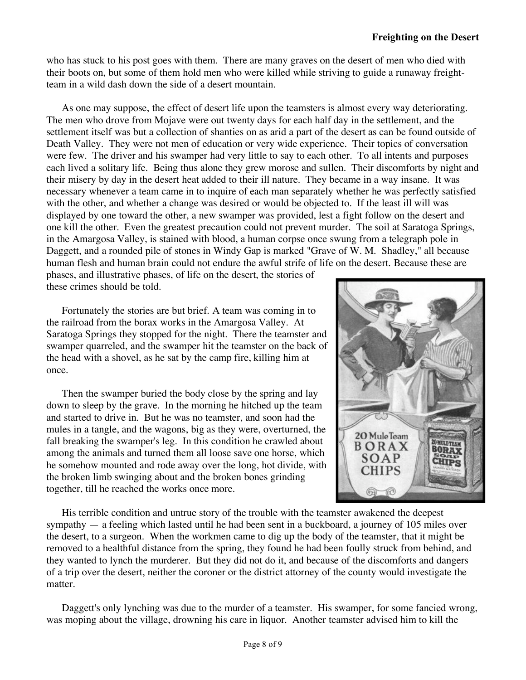who has stuck to his post goes with them. There are many graves on the desert of men who died with their boots on, but some of them hold men who were killed while striving to guide a runaway freightteam in a wild dash down the side of a desert mountain.

As one may suppose, the effect of desert life upon the teamsters is almost every way deteriorating. The men who drove from Mojave were out twenty days for each half day in the settlement, and the settlement itself was but a collection of shanties on as arid a part of the desert as can be found outside of Death Valley. They were not men of education or very wide experience. Their topics of conversation were few. The driver and his swamper had very little to say to each other. To all intents and purposes each lived a solitary life. Being thus alone they grew morose and sullen. Their discomforts by night and their misery by day in the desert heat added to their ill nature. They became in a way insane. It was necessary whenever a team came in to inquire of each man separately whether he was perfectly satisfied with the other, and whether a change was desired or would be objected to. If the least ill will was displayed by one toward the other, a new swamper was provided, lest a fight follow on the desert and one kill the other. Even the greatest precaution could not prevent murder. The soil at Saratoga Springs, in the Amargosa Valley, is stained with blood, a human corpse once swung from a telegraph pole in Daggett, and a rounded pile of stones in Windy Gap is marked "Grave of W. M. Shadley," all because human flesh and human brain could not endure the awful strife of life on the desert. Because these are

phases, and illustrative phases, of life on the desert, the stories of these crimes should be told.

Fortunately the stories are but brief. A team was coming in to the railroad from the borax works in the Amargosa Valley. At Saratoga Springs they stopped for the night. There the teamster and swamper quarreled, and the swamper hit the teamster on the back of the head with a shovel, as he sat by the camp fire, killing him at once.

Then the swamper buried the body close by the spring and lay down to sleep by the grave. In the morning he hitched up the team and started to drive in. But he was no teamster, and soon had the mules in a tangle, and the wagons, big as they were, overturned, the fall breaking the swamper's leg. In this condition he crawled about among the animals and turned them all loose save one horse, which he somehow mounted and rode away over the long, hot divide, with the broken limb swinging about and the broken bones grinding together, till he reached the works once more.



His terrible condition and untrue story of the trouble with the teamster awakened the deepest sympathy — a feeling which lasted until he had been sent in a buckboard, a journey of 105 miles over the desert, to a surgeon. When the workmen came to dig up the body of the teamster, that it might be removed to a healthful distance from the spring, they found he had been foully struck from behind, and they wanted to lynch the murderer. But they did not do it, and because of the discomforts and dangers of a trip over the desert, neither the coroner or the district attorney of the county would investigate the matter.

Daggett's only lynching was due to the murder of a teamster. His swamper, for some fancied wrong, was moping about the village, drowning his care in liquor. Another teamster advised him to kill the